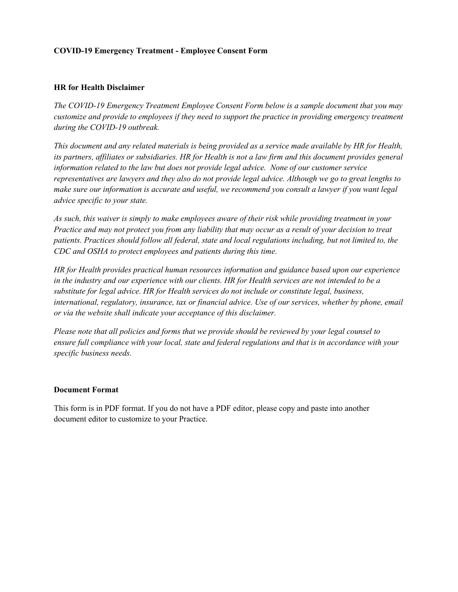## **COVID-19 Emergency Treatment - Employee Consent Form**

## **HR for Health Disclaimer**

*The COVID-19 Emergency Treatment Employee Consent Form below is a sample document that you may customize and provide to employees if they need to support the practice in providing emergency treatment during the COVID-19 outbreak.* 

*This document and any related materials is being provided as a service made available by HR for Health, its partners, affiliates or subsidiaries. HR for Health is not a law firm and this document provides general information related to the law but does not provide legal advice. None of our customer service representatives are lawyers and they also do not provide legal advice. Although we go to great lengths to make sure our information is accurate and useful, we recommend you consult a lawyer if you want legal advice specific to your state.*

*As such, this waiver is simply to make employees aware of their risk while providing treatment in your Practice and may not protect you from any liability that may occur as a result of your decision to treat patients. Practices should follow all federal, state and local regulations including, but not limited to, the CDC and OSHA to protect employees and patients during this time.* 

*HR for Health provides practical human resources information and guidance based upon our experience in the industry and our experience with our clients. HR for Health services are not intended to be a substitute for legal advice. HR for Health services do not include or constitute legal, business, international, regulatory, insurance, tax or financial advice. Use of our services, whether by phone, email or via the website shall indicate your acceptance of this disclaimer.*

*Please note that all policies and forms that we provide should be reviewed by your legal counsel to ensure full compliance with your local, state and federal regulations and that is in accordance with your specific business needs.* 

## **Document Format**

This form is in PDF format. If you do not have a PDF editor, please copy and paste into another document editor to customize to your Practice.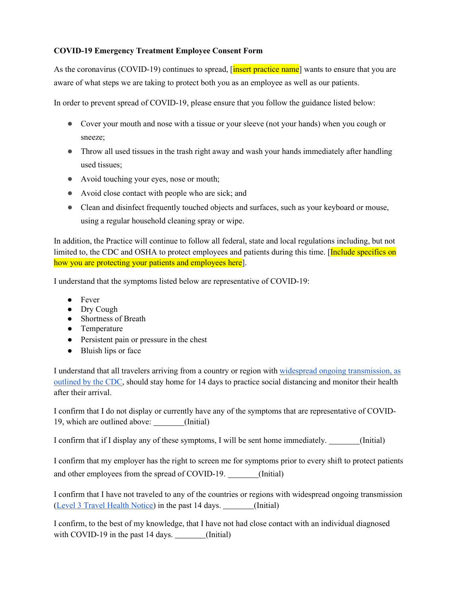## **COVID-19 Emergency Treatment Employee Consent Form**

As the coronavirus (COVID-19) continues to spread, [insert practice name] wants to ensure that you are aware of what steps we are taking to protect both you as an employee as well as our patients.

In order to prevent spread of COVID-19, please ensure that you follow the guidance listed below:

- Cover your mouth and nose with a tissue or your sleeve (not your hands) when you cough or sneeze;
- Throw all used tissues in the trash right away and wash your hands immediately after handling used tissues;
- Avoid touching your eyes, nose or mouth;
- Avoid close contact with people who are sick; and
- Clean and disinfect frequently touched objects and surfaces, such as your keyboard or mouse, using a regular household cleaning spray or wipe.

In addition, the Practice will continue to follow all federal, state and local regulations including, but not limited to, the CDC and OSHA to protect employees and patients during this time. [Include specifics on how you are protecting your patients and employees here].

I understand that the symptoms listed below are representative of COVID-19:

- Fever
- Dry Cough
- Shortness of Breath
- Temperature
- Persistent pain or pressure in the chest
- Bluish lips or face

I understand that all travelers arriving from a country or region with [widespread ongoing transmission, as](https://www.cdc.gov/coronavirus/2019-ncov/travelers/map-and-travel-notices.html)  [outlined by the CDC,](https://www.cdc.gov/coronavirus/2019-ncov/travelers/map-and-travel-notices.html) should stay home for 14 days to practice social distancing and monitor their health after their arrival.

I confirm that I do not display or currently have any of the symptoms that are representative of COVID-19, which are outlined above: (Initial)

I confirm that if I display any of these symptoms, I will be sent home immediately. (Initial)

I confirm that my employer has the right to screen me for symptoms prior to every shift to protect patients and other employees from the spread of COVID-19. (Initial)

I confirm that I have not traveled to any of the countries or regions with widespread ongoing transmission [\(Level 3 Travel Health Notice\)](https://www.cdc.gov/coronavirus/2019-ncov/travelers/map-and-travel-notices.html) in the past 14 days. (Initial)

I confirm, to the best of my knowledge, that I have not had close contact with an individual diagnosed with COVID-19 in the past 14 days. (Initial)